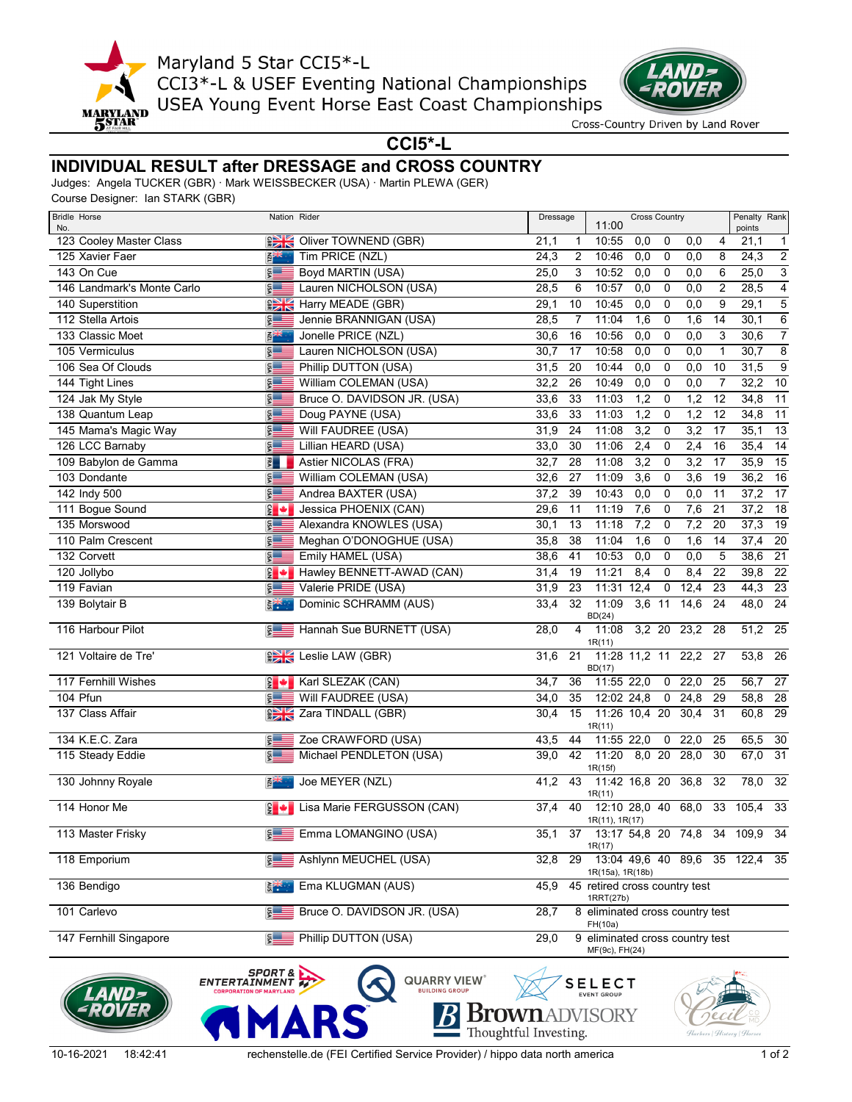

Maryland 5 Star CCI5\*-L CCI3\*-L & USEF Eventing National Championships USEA Young Event Horse East Coast Championships



Cross-Country Driven by Land Rover

**CCI5\*-L**

## **INDIVIDUAL RESULT after DRESSAGE and CROSS COUNTRY**

Judges: Angela TUCKER (GBR) · Mark WEISSBECKER (USA) · Martin PLEWA (GER)

Course Designer: Ian STARK (GBR)

| <b>Bridle Horse</b><br>No. | Nation Rider               |                                       | Dressage                                                  |                                            | 11:00                                      | <b>Cross Country</b> |              |         |                | Penalty Rank<br>points         |                 |
|----------------------------|----------------------------|---------------------------------------|-----------------------------------------------------------|--------------------------------------------|--------------------------------------------|----------------------|--------------|---------|----------------|--------------------------------|-----------------|
| 123 Cooley Master Class    | $\frac{1}{\sqrt{2}}$       | Oliver TOWNEND (GBR)                  | 21,1                                                      | 1                                          | 10:55                                      | 0,0                  | 0            | 0,0     | 4              | 21,1                           | $\mathbf{1}$    |
| 125 Xavier Faer            | 開業                         | Tim PRICE (NZL)                       | 24,3                                                      | 2                                          | 10:46                                      | 0,0                  | 0            | 0,0     | 8              | 24,3                           | $\overline{2}$  |
| 143 On Cue                 | $S =$                      | Boyd MARTIN (USA)                     | 25,0                                                      | 3                                          | 10:52                                      | 0,0                  | 0            | 0,0     | 6              | 25,0                           | $\overline{3}$  |
| 146 Landmark's Monte Carlo | $\frac{5}{2}$              | Lauren NICHOLSON (USA)                | 28,5                                                      | 6                                          | 10:57                                      | 0,0                  | 0            | 0,0     | $\overline{2}$ | 28,5                           | $\overline{4}$  |
| 140 Superstition           |                            | <b>EXAMPLE HARRY MEADE (GBR)</b>      | 29,1                                                      | 10                                         | 10:45                                      | 0,0                  | 0            | 0,0     | 9              | 29,1                           | $\overline{5}$  |
| 112 Stella Artois          | $\frac{5}{2}$              | Jennie BRANNIGAN (USA)                | 28,5                                                      | $\overline{7}$                             | 11:04                                      | 1,6                  | 0            | 1,6     | 14             | 30,1                           | $\,6\,$         |
| 133 Classic Moet           | 卧                          | Jonelle PRICE (NZL)                   | 30,6                                                      | 16                                         | 10:56                                      | 0,0                  | 0            | 0,0     | 3              | 30,6                           | $\overline{7}$  |
| 105 Vermiculus             | $$ \equiv$                 | Lauren NICHOLSON (USA)                | 30,7                                                      | 17                                         | 10:58                                      | 0,0                  | 0            | 0,0     | $\mathbf 1$    | 30,7                           | $\overline{8}$  |
| 106 Sea Of Clouds          | $\frac{5}{2}$              | Phillip DUTTON (USA)                  | 31,5                                                      | 20                                         | 10:44                                      | 0,0                  | 0            | 0,0     | 10             | 31,5                           | $\overline{9}$  |
| 144 Tight Lines            | $\frac{5}{2}$              | William COLEMAN (USA)                 | 32,2                                                      | 26                                         | 10:49                                      | 0,0                  | 0            | 0,0     | $\overline{7}$ | 32,2                           | $\overline{10}$ |
| 124 Jak My Style           | $\frac{1}{2}$              | Bruce O. DAVIDSON JR. (USA)           | 33,6                                                      | 33                                         | 11:03                                      | 1,2                  | 0            | 1,2     | 12             | 34,8                           | $\overline{11}$ |
| 138 Quantum Leap           | $rac{1}{2}$                | Doug PAYNE (USA)                      | 33,6                                                      | 33                                         | 11:03                                      | 1,2                  | 0            | 1,2     | 12             | 34,8                           | $\overline{11}$ |
| 145 Mama's Magic Way       | <b>DSA</b>                 | Will FAUDREE (USA)                    | 31,9                                                      | 24                                         | 11:08                                      | 3,2                  | 0            | 3,2     | 17             | 35,1                           | $\overline{13}$ |
| 126 LCC Barnaby            | $S =$                      | Lillian HEARD (USA)                   | 33,0                                                      | 30                                         | 11:06                                      | 2,4                  | 0            | 2,4     | 16             | 35,4                           | 14              |
| 109 Babylon de Gamma       | $\frac{1}{2}$              | Astier NICOLAS (FRA)                  | 32,7                                                      | 28                                         | 11:08                                      | 3,2                  | 0            | 3,2     | 17             | 35,9                           | $\overline{15}$ |
| 103 Dondante               | $rac{vsn}{\sqrt{2}}$       | William COLEMAN (USA)                 | 32,6                                                      | 27                                         | 11:09                                      | 3,6                  | 0            | 3,6     | 19             | 36,2                           | 16              |
| 142 Indy 500               | $s =$                      | Andrea BAXTER (USA)                   | 37,2                                                      | 39                                         | 10:43                                      | 0,0                  | 0            | 0,0     | 11             | 37,2                           | $\overline{17}$ |
| 111 Bogue Sound            | $\frac{1}{2}$ +            | Jessica PHOENIX (CAN)                 | 29,6                                                      | 11                                         | 11:19                                      | 7,6                  | 0            | 7,6     | 21             | 37,2                           | $\overline{18}$ |
| 135 Morswood               | $\frac{5}{2}$              | Alexandra KNOWLES (USA)               | 30,1                                                      | 13                                         | 11:18                                      | 7,2                  | 0            | 7,2     | 20             | 37,3                           | $\overline{19}$ |
| 110 Palm Crescent          | <b>DSA</b>                 | Meghan O'DONOGHUE (USA)               | 35,8                                                      | 38                                         | 11:04                                      | 1,6                  | 0            | 1,6     | 14             | 37,4                           | 20              |
| 132 Corvett                | vsn                        | Emily HAMEL (USA)                     | 38,6                                                      | 41                                         | 10:53                                      | 0,0                  | 0            | 0,0     | 5              | 38,6                           | $\overline{21}$ |
| 120 Jollybo                | $\frac{1}{2}$              | Hawley BENNETT-AWAD (CAN)             | 31,4                                                      | 19                                         | 11:21                                      | 8,4                  | 0            | 8,4     | 22             | 39,8                           | $\overline{22}$ |
| 119 Favian                 | $\frac{5}{2}$              | Valerie PRIDE (USA)                   | 31,9                                                      | 23                                         | 11:31                                      | 12,4                 | 0            | 12,4    | 23             | 44,3                           | 23              |
| 139 Bolytair B             | 米。                         | Dominic SCHRAMM (AUS)                 | 33,4                                                      | 32                                         | 11:09<br>BD(24)                            | 3,6 11               |              | 14,6    | 24             | 48,0                           | 24              |
| 116 Harbour Pilot          | $\frac{5}{3}$              | Hannah Sue BURNETT (USA)              | 28,0                                                      | 4                                          | 11:08<br>1R(11)                            | 3,2 20               |              | 23,2    | 28             | $\overline{51,2}$              | 25              |
| 121 Voltaire de Tre'       |                            | <b>EXEC</b> Leslie LAW (GBR)          | 31,6                                                      | 21                                         | 11:28 11,2 11 22,2 27<br>BD(17)            |                      |              |         |                | 53,8                           | - 26            |
| 117 Fernhill Wishes        |                            | $\frac{1}{2}$ Karl SLEZAK (CAN)       | 34,7                                                      | 36                                         | 11:55 22,0                                 |                      | $\mathbf{0}$ | 22,0    | 25             | 56,7                           | 27              |
| 104 Pfun                   | $5 =$                      | Will FAUDREE (USA)                    | 34,0                                                      | 35                                         | 12:02 24,8                                 |                      |              | 0, 24.8 | 29             | 58,8                           | $\overline{28}$ |
| 137 Class Affair           |                            | <b>PE Zara TINDALL (GBR)</b>          | 30,4                                                      | 15                                         | 11:26 10,4 20<br>1R(11)                    |                      |              | 30,4    | 31             | 60,8                           | 29              |
| 134 K.E.C. Zara            | $$ \equiv$                 | Zoe CRAWFORD (USA)                    | 43,5                                                      | 44                                         | 11:55 22,0                                 |                      | $\mathbf{0}$ | 22,0    | 25             | 65,5                           | 30              |
| 115 Steady Eddie           | $\frac{5}{2}$              | Michael PENDLETON (USA)               | 39,0                                                      | 42                                         | 11:20 8.0 20<br>1R(15f)                    |                      |              | 28,0    | 30             | 67,0                           | 31              |
| 130 Johnny Royale          | 접생                         | Joe MEYER (NZL)                       | 41,2                                                      | 43                                         | 11:42 16,8 20<br>1R(11)                    |                      |              | 36,8    | 32             | 78,0                           | 32              |
| 114 Honor Me               |                            | <b>E</b> + Lisa Marie FERGUSSON (CAN) | 37,4                                                      | 40                                         | 12:10 28,0 40 68,0<br>1R(11), 1R(17)       |                      |              |         | 33             | 105,4                          | 33              |
| 113 Master Frisky          |                            | Emma LOMANGINO (USA)                  | 35,1                                                      | 37                                         | 13:17 54,8 20 74,8<br>1R(17)               |                      |              |         | 34             | 109,9                          | 34              |
| 118 Emporium               |                            | <b>E Ashlynn MEUCHEL (USA)</b>        | 32,8                                                      | 29                                         | 1R(15a), 1R(18b)                           |                      |              |         |                | 13:04 49,6 40 89,6 35 122,4 35 |                 |
| 136 Bendigo                | $5 - 5$                    | Ema KLUGMAN (AUS)                     | 45,9                                                      |                                            | 45 retired cross country test<br>1RRT(27b) |                      |              |         |                |                                |                 |
| 101 Carlevo                | $S =$                      | Bruce O. DAVIDSON JR. (USA)           | 28,7                                                      | 8 eliminated cross country test<br>FH(10a) |                                            |                      |              |         |                |                                |                 |
| 147 Fernhill Singapore     | \$ <del>⊞</del>            | Phillip DUTTON (USA)                  | 29,0<br>9 eliminated cross country test<br>MF(9c), FH(24) |                                            |                                            |                      |              |         |                |                                |                 |
|                            | SPORT & P<br>ENTERTAINMENT | <b>QUARRY VIEW®</b>                   |                                                           |                                            | $s$ ELECT                                  |                      |              |         |                |                                |                 |







**SELECT**